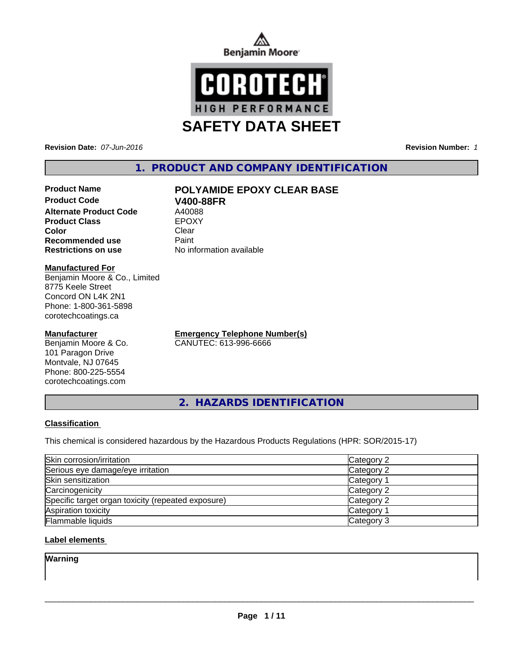



**Revision Date:** *07-Jun-2016* **Revision Number:** *1*

# **1. PRODUCT AND COMPANY IDENTIFICATION**

# **Product Name POLYAMIDE EPOXY CLEAR BASE**

**Product Code V400-88FR Alternate Product Code** A40088<br> **Product Class** EPOXY **Product Class Color** Clear Clear **Recommended use Paint Restrictions on use** No information available

#### **Manufactured For**

Benjamin Moore & Co., Limited 8775 Keele Street Concord ON L4K 2N1 Phone: 1-800-361-5898 corotechcoatings.ca

### **Manufacturer**

Benjamin Moore & Co. 101 Paragon Drive Montvale, NJ 07645 Phone: 800-225-5554 corotechcoatings.com

**Emergency Telephone Number(s)** CANUTEC: 613-996-6666

**2. HAZARDS IDENTIFICATION**

## **Classification**

This chemical is considered hazardous by the Hazardous Products Regulations (HPR: SOR/2015-17)

| Skin corrosion/irritation                          | Category 2            |
|----------------------------------------------------|-----------------------|
| Serious eye damage/eye irritation                  | Category 2            |
| Skin sensitization                                 | Category <sup>1</sup> |
| Carcinogenicity                                    | Category 2            |
| Specific target organ toxicity (repeated exposure) | Category 2            |
| Aspiration toxicity                                | Category <sup>2</sup> |
| <b>Flammable liquids</b>                           | Category 3            |

## **Label elements**

**Warning**

 $\overline{\phantom{a}}$  ,  $\overline{\phantom{a}}$  ,  $\overline{\phantom{a}}$  ,  $\overline{\phantom{a}}$  ,  $\overline{\phantom{a}}$  ,  $\overline{\phantom{a}}$  ,  $\overline{\phantom{a}}$  ,  $\overline{\phantom{a}}$  ,  $\overline{\phantom{a}}$  ,  $\overline{\phantom{a}}$  ,  $\overline{\phantom{a}}$  ,  $\overline{\phantom{a}}$  ,  $\overline{\phantom{a}}$  ,  $\overline{\phantom{a}}$  ,  $\overline{\phantom{a}}$  ,  $\overline{\phantom{a}}$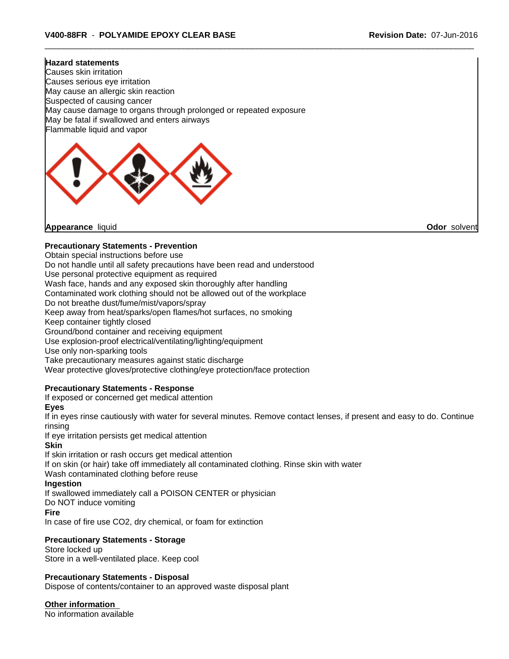#### **Hazard statements**

Causes skin irritation Causes serious eye irritation May cause an allergic skin reaction Suspected of causing cancer May cause damage to organs through prolonged or repeated exposure May be fatal if swallowed and enters airways Flammable liquid and vapor



**Appearance** liquid **Odor** solvent

#### **Precautionary Statements - Prevention**

Obtain special instructions before use

Do not handle until all safety precautions have been read and understood

Use personal protective equipment as required

Wash face, hands and any exposed skin thoroughly after handling

Contaminated work clothing should not be allowed out of the workplace

Do not breathe dust/fume/mist/vapors/spray

Keep away from heat/sparks/open flames/hot surfaces, no smoking

Keep container tightly closed

Ground/bond container and receiving equipment

Use explosion-proof electrical/ventilating/lighting/equipment

Use only non-sparking tools

Take precautionary measures against static discharge

Wear protective gloves/protective clothing/eye protection/face protection

### **Precautionary Statements - Response**

If exposed or concerned get medical attention

**Eyes**

If in eyes rinse cautiously with water for several minutes. Remove contact lenses, if present and easy to do. Continue rinsing

If eye irritation persists get medical attention

#### **Skin**

If skin irritation or rash occurs get medical attention If on skin (or hair) take off immediately all contaminated clothing. Rinse skin with water Wash contaminated clothing before reuse

# **Ingestion**

If swallowed immediately call a POISON CENTER or physician

Do NOT induce vomiting

#### **Fire**

In case of fire use CO2, dry chemical, or foam for extinction

## **Precautionary Statements - Storage**

Store locked up Store in a well-ventilated place. Keep cool

#### **Precautionary Statements - Disposal**

Dispose of contents/container to an approved waste disposal plant

**Other information**

No information available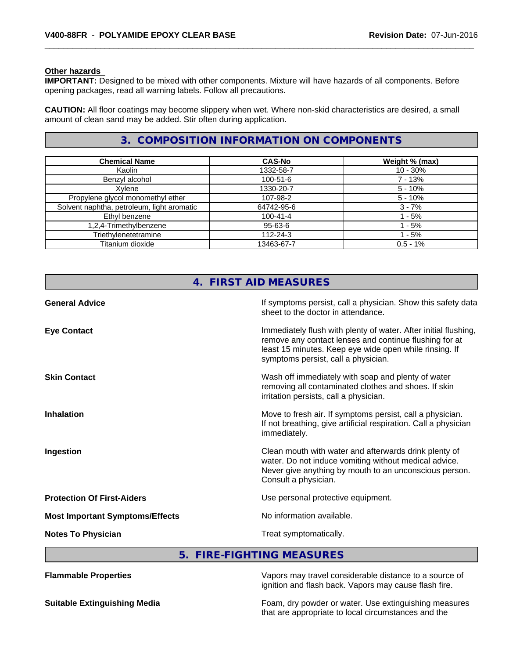#### **Other hazards**

**IMPORTANT:** Designed to be mixed with other components. Mixture will have hazards of all components. Before opening packages, read all warning labels. Follow all precautions.

**CAUTION:** All floor coatings may become slippery when wet. Where non-skid characteristics are desired, a small amount of clean sand may be added. Stir often during application.

# **3. COMPOSITION INFORMATION ON COMPONENTS**

| <b>Chemical Name</b>                       | <b>CAS-No</b>  | Weight % (max) |
|--------------------------------------------|----------------|----------------|
| Kaolin                                     | 1332-58-7      | $10 - 30%$     |
| Benzyl alcohol                             | $100 - 51 - 6$ | $7 - 13%$      |
| Xvlene                                     | 1330-20-7      | $5 - 10%$      |
| Propylene glycol monomethyl ether          | 107-98-2       | $5 - 10%$      |
| Solvent naphtha, petroleum, light aromatic | 64742-95-6     | $3 - 7%$       |
| Ethyl benzene                              | $100 - 41 - 4$ | - 5%           |
| 1,2,4-Trimethylbenzene                     | 95-63-6        | $1 - 5%$       |
| Triethylenetetramine                       | $112 - 24 - 3$ | $-5%$          |
| Titanium dioxide                           | 13463-67-7     | $0.5 - 1%$     |

|                                        | 4. FIRST AID MEASURES                                                                                                                                                                                                      |
|----------------------------------------|----------------------------------------------------------------------------------------------------------------------------------------------------------------------------------------------------------------------------|
| <b>General Advice</b>                  | If symptoms persist, call a physician. Show this safety data<br>sheet to the doctor in attendance.                                                                                                                         |
| <b>Eye Contact</b>                     | Immediately flush with plenty of water. After initial flushing,<br>remove any contact lenses and continue flushing for at<br>least 15 minutes. Keep eye wide open while rinsing. If<br>symptoms persist, call a physician. |
| <b>Skin Contact</b>                    | Wash off immediately with soap and plenty of water<br>removing all contaminated clothes and shoes. If skin<br>irritation persists, call a physician.                                                                       |
| <b>Inhalation</b>                      | Move to fresh air. If symptoms persist, call a physician.<br>If not breathing, give artificial respiration. Call a physician<br>immediately.                                                                               |
| Ingestion                              | Clean mouth with water and afterwards drink plenty of<br>water. Do not induce vomiting without medical advice.<br>Never give anything by mouth to an unconscious person.<br>Consult a physician.                           |
| <b>Protection Of First-Aiders</b>      | Use personal protective equipment.                                                                                                                                                                                         |
| <b>Most Important Symptoms/Effects</b> | No information available.                                                                                                                                                                                                  |
| <b>Notes To Physician</b>              | Treat symptomatically.                                                                                                                                                                                                     |

**5. FIRE-FIGHTING MEASURES**

| <b>Flammable Properties</b>         | Vapors may travel considerable distance to a source of<br>ignition and flash back. Vapors may cause flash fire. |
|-------------------------------------|-----------------------------------------------------------------------------------------------------------------|
| <b>Suitable Extinguishing Media</b> | Foam, dry powder or water. Use extinguishing measures<br>that are appropriate to local circumstances and the    |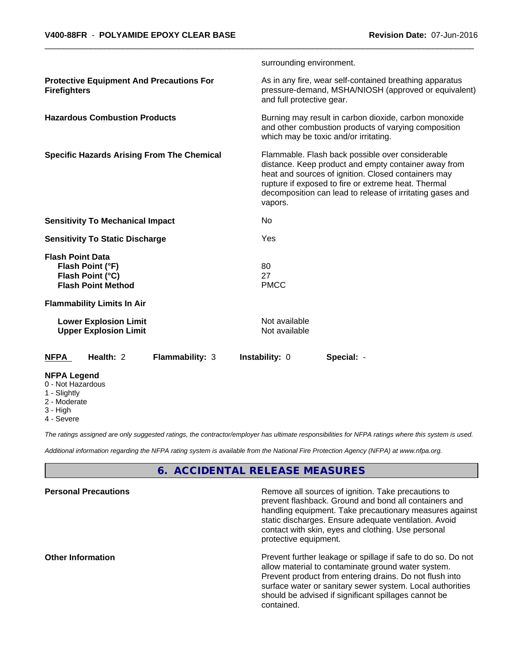|                                                                                              | surrounding environment.                                                                                                                                                                                                                                                                       |
|----------------------------------------------------------------------------------------------|------------------------------------------------------------------------------------------------------------------------------------------------------------------------------------------------------------------------------------------------------------------------------------------------|
| <b>Protective Equipment And Precautions For</b><br><b>Firefighters</b>                       | As in any fire, wear self-contained breathing apparatus<br>pressure-demand, MSHA/NIOSH (approved or equivalent)<br>and full protective gear.                                                                                                                                                   |
| <b>Hazardous Combustion Products</b>                                                         | Burning may result in carbon dioxide, carbon monoxide<br>and other combustion products of varying composition<br>which may be toxic and/or irritating.                                                                                                                                         |
| <b>Specific Hazards Arising From The Chemical</b>                                            | Flammable. Flash back possible over considerable<br>distance. Keep product and empty container away from<br>heat and sources of ignition. Closed containers may<br>rupture if exposed to fire or extreme heat. Thermal<br>decomposition can lead to release of irritating gases and<br>vapors. |
| <b>Sensitivity To Mechanical Impact</b>                                                      | No                                                                                                                                                                                                                                                                                             |
| <b>Sensitivity To Static Discharge</b>                                                       | Yes                                                                                                                                                                                                                                                                                            |
| <b>Flash Point Data</b><br>Flash Point (°F)<br>Flash Point (°C)<br><b>Flash Point Method</b> | 80<br>27<br><b>PMCC</b>                                                                                                                                                                                                                                                                        |
| <b>Flammability Limits In Air</b>                                                            |                                                                                                                                                                                                                                                                                                |
| <b>Lower Explosion Limit</b><br><b>Upper Explosion Limit</b>                                 | Not available<br>Not available                                                                                                                                                                                                                                                                 |
| Health: 2<br><b>NFPA</b><br><b>Flammability: 3</b>                                           | Instability: 0<br>Special: -                                                                                                                                                                                                                                                                   |
| <b>NFPA Legend</b><br>0 - Not Hazardous                                                      |                                                                                                                                                                                                                                                                                                |

- 1 Slightly
- 2 Moderate
- 3 High
- 4 Severe

*The ratings assigned are only suggested ratings, the contractor/employer has ultimate responsibilities for NFPA ratings where this system is used.*

*Additional information regarding the NFPA rating system is available from the National Fire Protection Agency (NFPA) at www.nfpa.org.*

# **6. ACCIDENTAL RELEASE MEASURES**

| <b>Personal Precautions</b> | Remove all sources of ignition. Take precautions to<br>prevent flashback. Ground and bond all containers and<br>handling equipment. Take precautionary measures against<br>static discharges. Ensure adequate ventilation. Avoid<br>contact with skin, eyes and clothing. Use personal<br>protective equipment.  |
|-----------------------------|------------------------------------------------------------------------------------------------------------------------------------------------------------------------------------------------------------------------------------------------------------------------------------------------------------------|
| <b>Other Information</b>    | Prevent further leakage or spillage if safe to do so. Do not<br>allow material to contaminate ground water system.<br>Prevent product from entering drains. Do not flush into<br>surface water or sanitary sewer system. Local authorities<br>should be advised if significant spillages cannot be<br>contained. |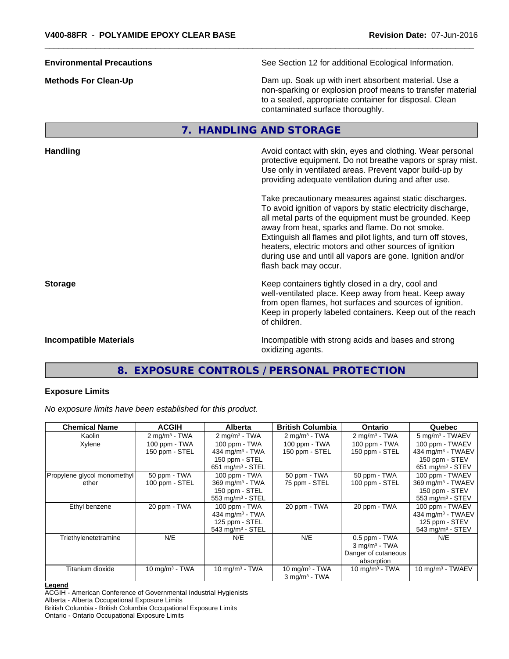**Environmental Precautions** See Section 12 for additional Ecological Information. **Methods For Clean-Up Clean-Up Example 20** Dam up. Soak up with inert absorbent material. Use a non-sparking or explosion proof means to transfer material to a sealed, appropriate container for disposal. Clean contaminated surface thoroughly. **7. HANDLING AND STORAGE Handling Handling Avoid contact with skin, eyes and clothing. Wear personal and results and clothing. Wear personal** protective equipment. Do not breathe vapors or spray mist. Use only in ventilated areas. Prevent vapor build-up by providing adequate ventilation during and after use. Take precautionary measures against static discharges. To avoid ignition of vapors by static electricity discharge, all metal parts of the equipment must be grounded. Keep away from heat, sparks and flame. Do not smoke. Extinguish all flames and pilot lights, and turn off stoves, heaters, electric motors and other sources of ignition during use and until all vapors are gone. Ignition and/or flash back may occur. **Storage Keep containers tightly closed in a dry, cool and <b>Storage Keep** containers tightly closed in a dry, cool and well-ventilated place. Keep away from heat. Keep away from open flames, hot surfaces and sources of ignition. Keep in properly labeled containers. Keep out of the reach of children.

**Incompatible Materials Incompatible with strong acids and bases and strong** oxidizing agents.

# **8. EXPOSURE CONTROLS / PERSONAL PROTECTION**

#### **Exposure Limits**

*No exposure limits have been established for this product.*

| <b>Chemical Name</b>        | <b>ACGIH</b>             | Alberta                       | <b>British Columbia</b>     | <b>Ontario</b>              | Quebec                         |
|-----------------------------|--------------------------|-------------------------------|-----------------------------|-----------------------------|--------------------------------|
| Kaolin                      | $2 \text{ mg/m}^3$ - TWA | $2 \text{ mg/m}^3$ - TWA      | $2 \text{ mg/m}^3$ - TWA    | $2 \text{ mg/m}^3$ - TWA    | 5 mg/m <sup>3</sup> - TWAEV    |
| Xylene                      | 100 ppm - TWA            | 100 ppm - TWA                 | 100 ppm - TWA               | 100 ppm - TWA               | 100 ppm - TWAEV                |
|                             | 150 ppm - STEL           | 434 mg/m $3$ - TWA            | 150 ppm - STEL              | 150 ppm - STEL              | 434 mg/m $3$ - TWAEV           |
|                             |                          | 150 ppm - STEL                |                             |                             | 150 ppm - STEV                 |
|                             |                          | 651 mg/m <sup>3</sup> - STEL  |                             |                             | $651$ mg/m <sup>3</sup> - STEV |
| Propylene glycol monomethyl | 50 ppm - TWA             | 100 ppm - TWA                 | 50 ppm - TWA                | 50 ppm - TWA                | 100 ppm - TWAEV                |
| ether                       | 100 ppm - STEL           | $369$ mg/m <sup>3</sup> - TWA | 75 ppm - STEL               | 100 ppm - STEL              | 369 mg/m <sup>3</sup> - TWAEV  |
|                             |                          | 150 ppm - STEL                |                             |                             | 150 ppm - STEV                 |
|                             |                          | 553 mg/m <sup>3</sup> - STEL  |                             |                             | 553 mg/m <sup>3</sup> - STEV   |
| Ethyl benzene               | 20 ppm - TWA             | 100 ppm - TWA                 | 20 ppm - TWA                | 20 ppm - TWA                | 100 ppm - TWAEV                |
|                             |                          | 434 mg/m $3$ - TWA            |                             |                             | 434 mg/m $3$ - TWAEV           |
|                             |                          | 125 ppm - STEL                |                             |                             | 125 ppm - STEV                 |
|                             |                          | 543 mg/m $3 -$ STEL           |                             |                             | 543 mg/m $3 -$ STEV            |
| Triethylenetetramine        | N/E                      | N/E                           | N/E                         | 0.5 ppm - TWA               | N/E                            |
|                             |                          |                               |                             | $3$ mg/m <sup>3</sup> - TWA |                                |
|                             |                          |                               |                             | Danger of cutaneous         |                                |
|                             |                          |                               |                             | absorption                  |                                |
| Titanium dioxide            | 10 mg/m $3$ - TWA        | 10 mg/m $3$ - TWA             | 10 mg/m $3$ - TWA           | 10 mg/m $3$ - TWA           | 10 mg/m $3$ - TWAEV            |
|                             |                          |                               | $3$ mg/m <sup>3</sup> - TWA |                             |                                |

#### **Legend**

ACGIH - American Conference of Governmental Industrial Hygienists

Ontario - Ontario Occupational Exposure Limits

Alberta - Alberta Occupational Exposure Limits

British Columbia - British Columbia Occupational Exposure Limits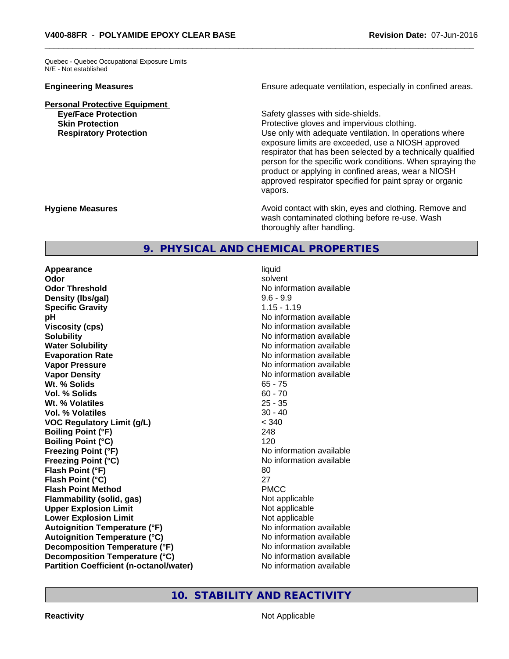Quebec - Quebec Occupational Exposure Limits N/E - Not established

**Personal Protective Equipment**

**Engineering Measures Ensure adequate ventilation, especially in confined areas.** 

**Eye/Face Protection Safety glasses with side-shields. Skin Protection Protection Protective gloves and impervious clothing. Respiratory Protection Exercise 2018** Use only with adequate ventilation. In operations where exposure limits are exceeded, use a NIOSH approved respirator that has been selected by a technically qualified person for the specific work conditions. When spraying the product or applying in confined areas, wear a NIOSH approved respirator specified for paint spray or organic vapors.

**Hygiene Measures Avoid contact with skin, eyes and clothing. Remove and Avoid contact with skin, eyes and clothing. Remove and Avoid contact with skin, eyes and clothing. Remove and** wash contaminated clothing before re-use. Wash thoroughly after handling.

# **9. PHYSICAL AND CHEMICAL PROPERTIES**

**Appearance** liquid **Odor** solvent **Odor Threshold** No information available **Density (Ibs/gal)** 9.6 - 9.9<br> **Specific Gravity** 3.15 - 1.19 **Specific Gravity pH** No information available **Viscosity (cps)** No information available in the Mondon available in the Mondon available in the Mondon available **Solubility No information available No information available Water Solubility Water Solubility No information available Evaporation Rate No information available No information available Vapor Pressure** No information available in the North American Mondo available in the North American American American American American American American American American American American American American American Ame **Vapor Density No information available No information available Wt.** % Solids 65 - 75 **Vol. % Solids** 60 - 70<br> **Wt. % Volatiles** 25 - 35 **Wt. % Volatiles Vol. % Volatiles** 30 - 40 **VOC Regulatory Limit (g/L)** < 340 **Boiling Point (°F)** 248 **Boiling Point (°C)** 120 **Freezing Point (°F)** No information available **Freezing Point (°C)** The state of the Monometer of Noinformation available **Flash Point (°F)** 80 **Flash Point (°C)** 27 **Flash Point Method** PMCC **Flammability (solid, gas)** Not applicable **Upper Explosion Limit** Not applicable **Lower Explosion Limit**<br> **Autoignition Temperature (°F)**<br> **Autoignition Temperature (°F)**<br> **Autoignition Temperature (°F) Autoignition Temperature (°F) Autoignition Temperature (°C)** No information available **Decomposition Temperature** (°F) No information available **Decomposition Temperature (°C)** No information available **Partition Coefficient (n-octanol/water)** No information available

**10. STABILITY AND REACTIVITY**

**Reactivity Not Applicable Not Applicable**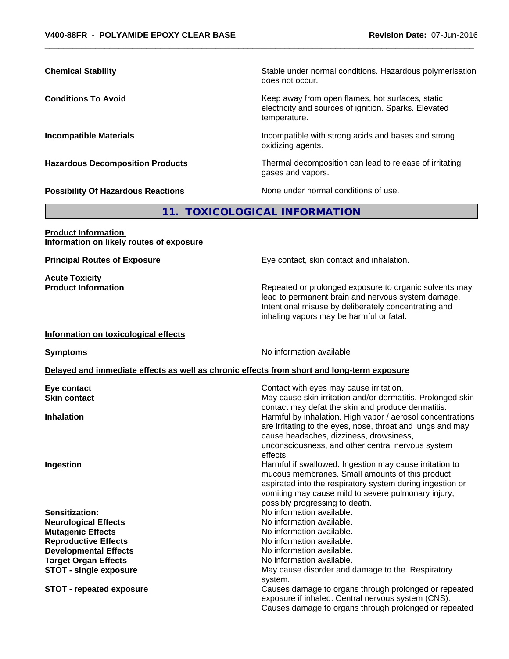exposure if inhaled. Central nervous system (CNS).

Causes damage to organs through prolonged or repeated

| <b>Chemical Stability</b>                                              | Stable under normal conditions. Hazardous polymerisation<br>does not occur.                                                                                                                                                                                      |
|------------------------------------------------------------------------|------------------------------------------------------------------------------------------------------------------------------------------------------------------------------------------------------------------------------------------------------------------|
| <b>Conditions To Avoid</b>                                             | Keep away from open flames, hot surfaces, static<br>electricity and sources of ignition. Sparks. Elevated<br>temperature.                                                                                                                                        |
| <b>Incompatible Materials</b>                                          | Incompatible with strong acids and bases and strong<br>oxidizing agents.                                                                                                                                                                                         |
| <b>Hazardous Decomposition Products</b>                                | Thermal decomposition can lead to release of irritating<br>gases and vapors.                                                                                                                                                                                     |
| <b>Possibility Of Hazardous Reactions</b>                              | None under normal conditions of use.                                                                                                                                                                                                                             |
|                                                                        | 11. TOXICOLOGICAL INFORMATION                                                                                                                                                                                                                                    |
| <b>Product Information</b><br>Information on likely routes of exposure |                                                                                                                                                                                                                                                                  |
| <b>Principal Routes of Exposure</b>                                    | Eye contact, skin contact and inhalation.                                                                                                                                                                                                                        |
| <b>Acute Toxicity</b><br><b>Product Information</b>                    | Repeated or prolonged exposure to organic solvents may<br>lead to permanent brain and nervous system damage.<br>Intentional misuse by deliberately concentrating and<br>inhaling vapors may be harmful or fatal.                                                 |
| Information on toxicological effects                                   |                                                                                                                                                                                                                                                                  |
| <b>Symptoms</b>                                                        | No information available                                                                                                                                                                                                                                         |
|                                                                        | Delayed and immediate effects as well as chronic effects from short and long-term exposure                                                                                                                                                                       |
| Eye contact                                                            | Contact with eyes may cause irritation.                                                                                                                                                                                                                          |
| <b>Skin contact</b>                                                    | May cause skin irritation and/or dermatitis. Prolonged skin<br>contact may defat the skin and produce dermatitis.                                                                                                                                                |
| <b>Inhalation</b>                                                      | Harmful by inhalation. High vapor / aerosol concentrations<br>are irritating to the eyes, nose, throat and lungs and may<br>cause headaches, dizziness, drowsiness,<br>unconsciousness, and other central nervous system<br>effects.                             |
| Ingestion                                                              | Harmful if swallowed. Ingestion may cause irritation to<br>mucous membranes. Small amounts of this product<br>aspirated into the respiratory system during ingestion or<br>vomiting may cause mild to severe pulmonary injury,<br>possibly progressing to death. |
| <b>Sensitization:</b>                                                  | No information available.                                                                                                                                                                                                                                        |
| <b>Neurological Effects</b>                                            | No information available.                                                                                                                                                                                                                                        |
| <b>Mutagenic Effects</b>                                               | No information available.                                                                                                                                                                                                                                        |
| <b>Reproductive Effects</b>                                            | No information available.                                                                                                                                                                                                                                        |
| <b>Developmental Effects</b>                                           | No information available.                                                                                                                                                                                                                                        |
| <b>Target Organ Effects</b>                                            | No information available.                                                                                                                                                                                                                                        |
| <b>STOT - single exposure</b>                                          | May cause disorder and damage to the. Respiratory                                                                                                                                                                                                                |
| <b>STOT - repeated exposure</b>                                        | system.<br>Causes damage to organs through prolonged or repeated                                                                                                                                                                                                 |
|                                                                        |                                                                                                                                                                                                                                                                  |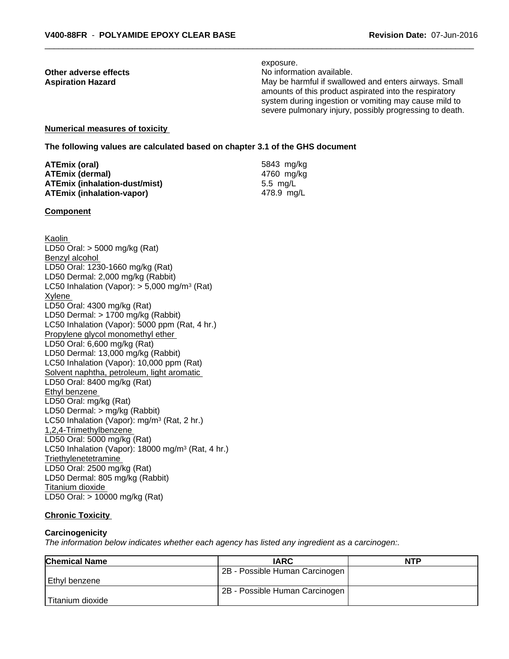exposure. **Other adverse effects** Noinformation available. Aspiration Hazard **Manufary 19 and 19 and 19 and 19 and 19 and 19 and 19 and 19 and 19 and 19 and 19 and 19 and 19 and 19 and 19 and 19 and 19 and 19 and 19 and 19 and 19 and 19 and 19 and 19 and 19 and 19 and 19 and 19 an** amounts of this product aspirated into the respiratory system during ingestion or vomiting may cause mild to severe pulmonary injury, possibly progressing to death.

#### **Numerical measures of toxicity**

**The following values are calculated based on chapter 3.1 of the GHS document**

| ATEmix (oral)                        | 5843 mg/kg |
|--------------------------------------|------------|
| <b>ATEmix (dermal)</b>               | 4760 mg/kg |
| <b>ATEmix (inhalation-dust/mist)</b> | 5.5 ma/L   |
| <b>ATEmix (inhalation-vapor)</b>     | 478.9 ma/L |

#### **Component**

Kaolin LD50 Oral: > 5000 mg/kg (Rat) Benzyl alcohol LD50 Oral: 1230-1660 mg/kg (Rat) LD50 Dermal: 2,000 mg/kg (Rabbit) LC50 Inhalation (Vapor): > 5,000 mg/m<sup>3</sup> (Rat) Xylene LD50 Oral: 4300 mg/kg (Rat) LD50 Dermal: > 1700 mg/kg (Rabbit) LC50 Inhalation (Vapor): 5000 ppm (Rat, 4 hr.) Propylene glycol monomethyl ether LD50 Oral: 6,600 mg/kg (Rat) LD50 Dermal: 13,000 mg/kg (Rabbit) LC50 Inhalation (Vapor): 10,000 ppm (Rat) Solvent naphtha, petroleum, light aromatic LD50 Oral: 8400 mg/kg (Rat) Ethyl benzene LD50 Oral: mg/kg (Rat) LD50 Dermal: > mg/kg (Rabbit) LC50 Inhalation (Vapor): mg/m<sup>3</sup> (Rat, 2 hr.) 1,2,4-Trimethylbenzene LD50 Oral: 5000 mg/kg (Rat) LC50 Inhalation (Vapor): 18000 mg/m<sup>3</sup> (Rat, 4 hr.) **Triethylenetetramine** LD50 Oral: 2500 mg/kg (Rat) LD50 Dermal: 805 mg/kg (Rabbit) Titanium dioxide LD50 Oral: > 10000 mg/kg (Rat)

### **Chronic Toxicity**

#### **Carcinogenicity**

*The information below indicateswhether each agency has listed any ingredient as a carcinogen:.*

| <b>Chemical Name</b> | <b>IARC</b>                    | <b>NTP</b> |
|----------------------|--------------------------------|------------|
|                      | 2B - Possible Human Carcinogen |            |
| Ethyl benzene        |                                |            |
|                      | 2B - Possible Human Carcinogen |            |
| Titanium dioxide     |                                |            |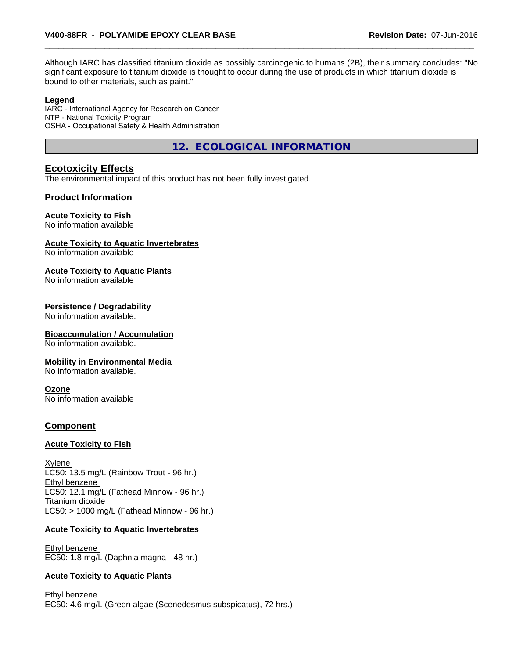Although IARC has classified titanium dioxide as possibly carcinogenic to humans (2B), their summary concludes: "No significant exposure to titanium dioxide is thought to occur during the use of products in which titanium dioxide is bound to other materials, such as paint."

#### **Legend**

IARC - International Agency for Research on Cancer NTP - National Toxicity Program OSHA - Occupational Safety & Health Administration

**12. ECOLOGICAL INFORMATION**

# **Ecotoxicity Effects**

The environmental impact of this product has not been fully investigated.

## **Product Information**

#### **Acute Toxicity to Fish**

No information available

#### **Acute Toxicity to Aquatic Invertebrates**

No information available

#### **Acute Toxicity to Aquatic Plants**

No information available

#### **Persistence / Degradability**

No information available.

#### **Bioaccumulation / Accumulation**

No information available.

#### **Mobility in Environmental Media**

No information available.

#### **Ozone**

No information available

#### **Component**

#### **Acute Toxicity to Fish**

Xylene LC50: 13.5 mg/L (Rainbow Trout - 96 hr.) Ethyl benzene LC50: 12.1 mg/L (Fathead Minnow - 96 hr.) Titanium dioxide  $LC50:$  > 1000 mg/L (Fathead Minnow - 96 hr.)

#### **Acute Toxicity to Aquatic Invertebrates**

Ethyl benzene EC50: 1.8 mg/L (Daphnia magna - 48 hr.)

#### **Acute Toxicity to Aquatic Plants**

Ethyl benzene EC50: 4.6 mg/L (Green algae (Scenedesmus subspicatus), 72 hrs.)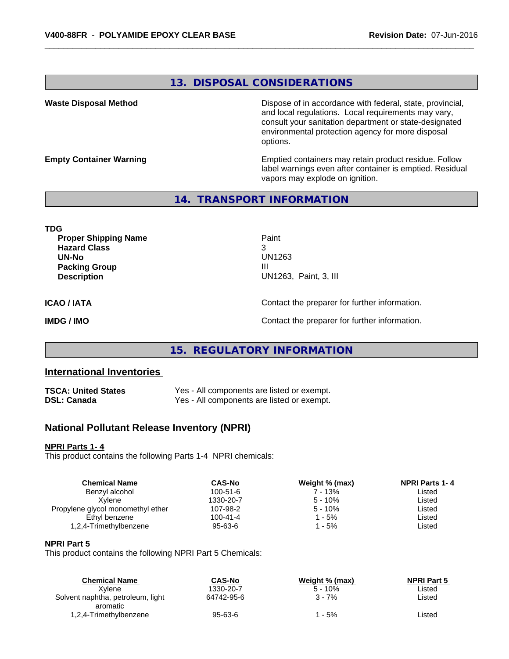# **13. DISPOSAL CONSIDERATIONS**

**Waste Disposal Method Dispose of in accordance with federal, state, provincial,** and local regulations. Local requirements may vary, consult your sanitation department or state-designated environmental protection agency for more disposal options.

**Empty Container Warning <b>Emptied** Containers may retain product residue. Follow label warnings even after container is emptied. Residual vapors may explode on ignition.

# **14. TRANSPORT INFORMATION**

**TDG Proper Shipping Name Paint Hazard Class** 3 **UN-No** UN1263 **Packing Group III Description** UN1263, Paint, 3, III **ICAO / IATA** Contact the preparer for further information. **IMDG / IMO IMO Contact the preparer for further information.** 

# **15. REGULATORY INFORMATION**

# **International Inventories**

| TSCA: United States | Yes - All components are listed or exempt. |
|---------------------|--------------------------------------------|
| DSL: Canada         | Yes - All components are listed or exempt. |

# **National Pollutant Release Inventory (NPRI)**

#### **NPRI Parts 1- 4**

This product contains the following Parts 1-4 NPRI chemicals:

| <b>Chemical Name</b>              | <b>CAS-No</b> | Weight % (max) | <b>NPRI Parts 1-4</b> |  |
|-----------------------------------|---------------|----------------|-----------------------|--|
| Benzyl alcohol                    | 100-51-6      | 7 - 13%        | Listed                |  |
| Xvlene                            | 1330-20-7     | $5 - 10%$      | Listed                |  |
| Propylene glycol monomethyl ether | 107-98-2      | $5 - 10%$      | Listed                |  |
| Ethyl benzene                     | 100-41-4      | $1 - 5%$       | Listed                |  |
| 1,2,4-Trimethylbenzene            | 95-63-6       | $1 - 5%$       | Listed                |  |
|                                   |               |                |                       |  |

#### **NPRI Part 5**

This product contains the following NPRI Part 5 Chemicals:

| <b>Chemical Name</b>              | CAS-No        | Weight % (max) | <b>NPRI Part 5</b> |  |
|-----------------------------------|---------------|----------------|--------------------|--|
| Xvlene                            | 1330-20-7     | $5 - 10%$      | ∟isted             |  |
| Solvent naphtha, petroleum, light | 64742-95-6    | 3 - 7%         | ∟isted             |  |
| aromatic                          |               |                |                    |  |
| 1,2,4-Trimethylbenzene            | $95 - 63 - 6$ | - 5%           | ∟isted             |  |